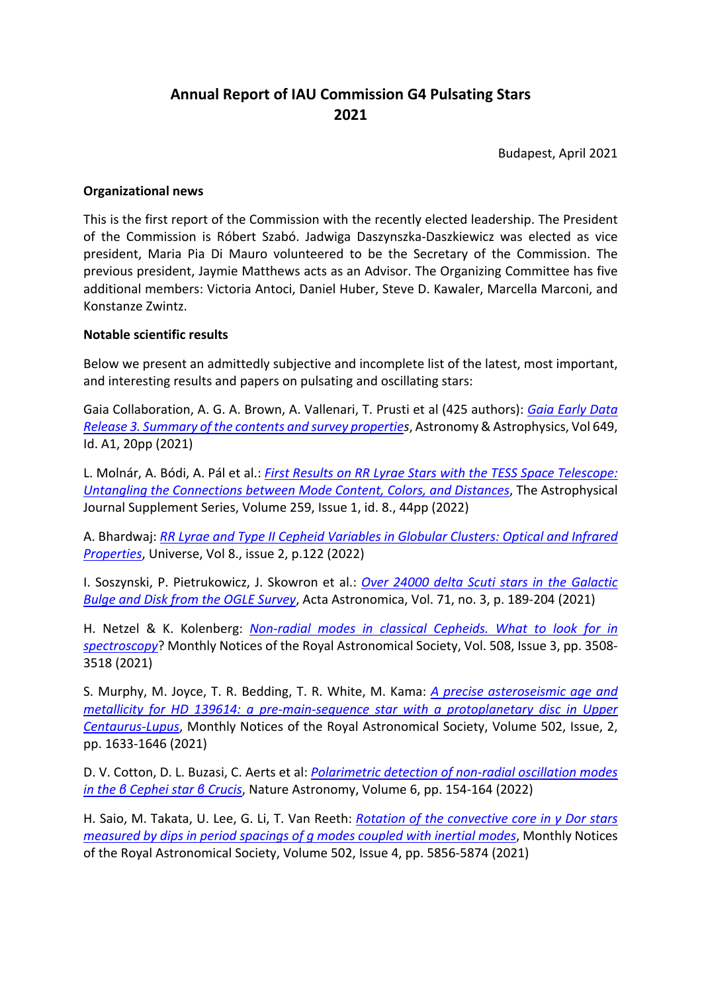# **Annual Report of IAU Commission G4 Pulsating Stars 2021**

Budapest, April 2021

### **Organizational news**

This is the first report of the Commission with the recently elected leadership. The President of the Commission is Róbert Szabó. Jadwiga Daszynszka-Daszkiewicz was elected as vice president, Maria Pia Di Mauro volunteered to be the Secretary of the Commission. The previous president, Jaymie Matthews acts as an Advisor. The Organizing Committee has five additional members: Victoria Antoci, Daniel Huber, Steve D. Kawaler, Marcella Marconi, and Konstanze Zwintz.

### **Notable scientific results**

Below we present an admittedly subjective and incomplete list of the latest, most important, and interesting results and papers on pulsating and oscillating stars:

Gaia Collaboration, A. G. A. Brown, A. Vallenari, T. Prusti et al (425 authors): *Gaia Early Data Release 3. Summary of the contents and survey properties*, Astronomy & Astrophysics, Vol 649, Id. A1, 20pp (2021)

L. Molnár, A. Bódi, A. Pál et al.: *First Results on RR Lyrae Stars with the TESS Space Telescope: Untangling the Connections between Mode Content, Colors, and Distances*, The Astrophysical Journal Supplement Series, Volume 259, Issue 1, id. 8., 44pp (2022)

A. Bhardwaj: *RR Lyrae and Type II Cepheid Variables in Globular Clusters: Optical and Infrared Properties*, Universe, Vol 8., issue 2, p.122 (2022)

I. Soszynski, P. Pietrukowicz, J. Skowron et al.: *Over 24000 delta Scuti stars in the Galactic Bulge and Disk from the OGLE Survey*, Acta Astronomica, Vol. 71, no. 3, p. 189-204 (2021)

H. Netzel & K. Kolenberg: *Non-radial modes in classical Cepheids. What to look for in spectroscopy*? Monthly Notices of the Royal Astronomical Society, Vol. 508, Issue 3, pp. 3508- 3518 (2021)

S. Murphy, M. Joyce, T. R. Bedding, T. R. White, M. Kama: *A precise asteroseismic age and metallicity for HD 139614: a pre-main-sequence star with a protoplanetary disc in Upper Centaurus-Lupus*, Monthly Notices of the Royal Astronomical Society, Volume 502, Issue, 2, pp. 1633-1646 (2021)

D. V. Cotton, D. L. Buzasi, C. Aerts et al: *Polarimetric detection of non-radial oscillation modes in the β Cephei star β Crucis*, Nature Astronomy, Volume 6, pp. 154-164 (2022)

H. Saio, M. Takata, U. Lee, G. Li, T. Van Reeth: *Rotation of the convective core in γ Dor stars measured by dips in period spacings of g modes coupled with inertial modes*, Monthly Notices of the Royal Astronomical Society, Volume 502, Issue 4, pp. 5856-5874 (2021)